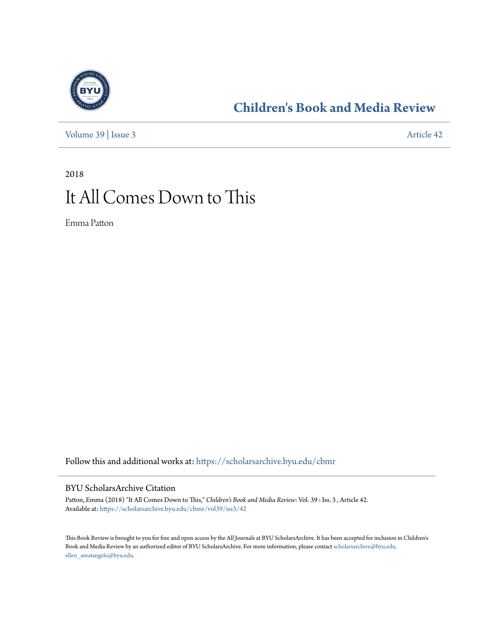

### **[Children's Book and Media Review](https://scholarsarchive.byu.edu/cbmr?utm_source=scholarsarchive.byu.edu%2Fcbmr%2Fvol39%2Fiss3%2F42&utm_medium=PDF&utm_campaign=PDFCoverPages)**

[Volume 39](https://scholarsarchive.byu.edu/cbmr/vol39?utm_source=scholarsarchive.byu.edu%2Fcbmr%2Fvol39%2Fiss3%2F42&utm_medium=PDF&utm_campaign=PDFCoverPages) | [Issue 3](https://scholarsarchive.byu.edu/cbmr/vol39/iss3?utm_source=scholarsarchive.byu.edu%2Fcbmr%2Fvol39%2Fiss3%2F42&utm_medium=PDF&utm_campaign=PDFCoverPages) [Article 42](https://scholarsarchive.byu.edu/cbmr/vol39/iss3/42?utm_source=scholarsarchive.byu.edu%2Fcbmr%2Fvol39%2Fiss3%2F42&utm_medium=PDF&utm_campaign=PDFCoverPages)

# 2018 It All Comes Down to This

Emma Patton

Follow this and additional works at: [https://scholarsarchive.byu.edu/cbmr](https://scholarsarchive.byu.edu/cbmr?utm_source=scholarsarchive.byu.edu%2Fcbmr%2Fvol39%2Fiss3%2F42&utm_medium=PDF&utm_campaign=PDFCoverPages)

#### BYU ScholarsArchive Citation

Patton, Emma (2018) "It All Comes Down to This," *Children's Book and Media Review*: Vol. 39 : Iss. 3 , Article 42. Available at: [https://scholarsarchive.byu.edu/cbmr/vol39/iss3/42](https://scholarsarchive.byu.edu/cbmr/vol39/iss3/42?utm_source=scholarsarchive.byu.edu%2Fcbmr%2Fvol39%2Fiss3%2F42&utm_medium=PDF&utm_campaign=PDFCoverPages)

This Book Review is brought to you for free and open access by the All Journals at BYU ScholarsArchive. It has been accepted for inclusion in Children's Book and Media Review by an authorized editor of BYU ScholarsArchive. For more information, please contact [scholarsarchive@byu.edu,](mailto:scholarsarchive@byu.edu,%20ellen_amatangelo@byu.edu) [ellen\\_amatangelo@byu.edu.](mailto:scholarsarchive@byu.edu,%20ellen_amatangelo@byu.edu)